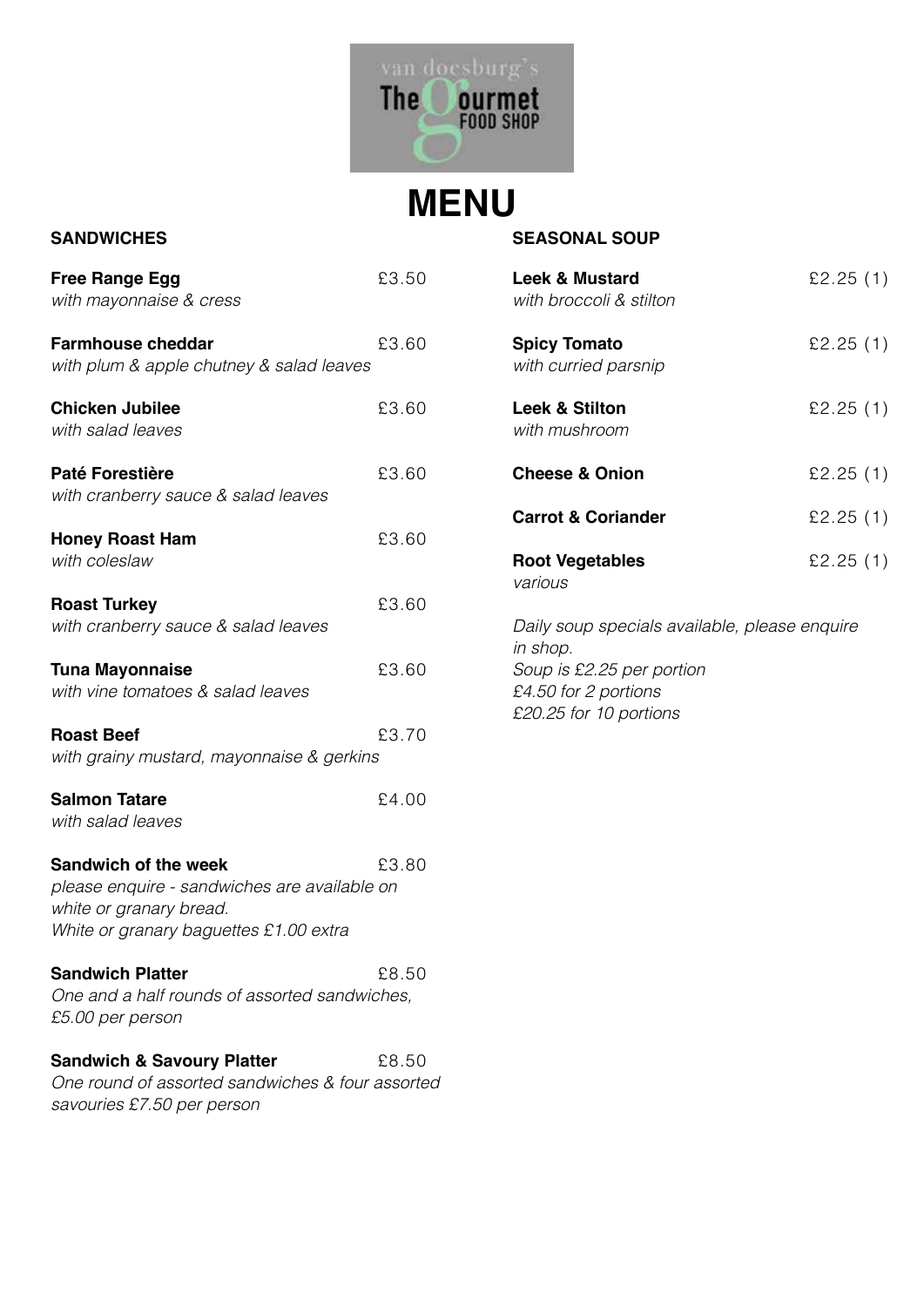

## **SANDWICHES**

| <b>Free Range Egg</b><br>with mayonnaise & cress                                                                                          | £3.50 |
|-------------------------------------------------------------------------------------------------------------------------------------------|-------|
| <b>Farmhouse cheddar</b><br>with plum & apple chutney & salad leaves                                                                      | £3.60 |
| <b>Chicken Jubilee</b><br>with salad leaves                                                                                               | £3.60 |
| <b>Paté Forestière</b><br>with cranberry sauce & salad leaves                                                                             | £3.60 |
| <b>Honey Roast Ham</b><br>with coleslaw                                                                                                   | £3.60 |
| <b>Roast Turkey</b><br>with cranberry sauce & salad leaves                                                                                | £3.60 |
| <b>Tuna Mayonnaise</b><br>with vine tomatoes & salad leaves                                                                               | £3.60 |
| <b>Roast Beef</b><br>with grainy mustard, mayonnaise & gerkins                                                                            | £3.70 |
| <b>Salmon Tatare</b><br>with salad leaves                                                                                                 | £4.00 |
| Sandwich of the week<br>please enquire - sandwiches are available on<br>white or granary bread.<br>White or granary baguettes £1.00 extra | £3.80 |
| <b>Sandwich Platter</b><br>One and a half rounds of assorted sandwiches,<br>£5.00 per person                                              | £8.50 |
| <b>Sandwich &amp; Savoury Platter</b><br>One round of assorted sandwiches & four assorted<br>savouries £7.50 per person                   | £8.50 |

### **SEASONAL SOUP**

| <b>Leek &amp; Mustard</b><br>with broccoli & stilton | £2.25 $(1)$ |  |  |
|------------------------------------------------------|-------------|--|--|
| <b>Spicy Tomato</b><br>with curried parsnip          | £2.25 $(1)$ |  |  |
| <b>Leek &amp; Stilton</b><br>with mushroom           | £2.25 $(1)$ |  |  |
| <b>Cheese &amp; Onion</b>                            | £2.25 $(1)$ |  |  |
| <b>Carrot &amp; Coriander</b>                        | £2.25 $(1)$ |  |  |
| <b>Root Vegetables</b><br>various                    | £2.25 $(1)$ |  |  |
| Daily soup specials available, please enquire        |             |  |  |

*in shop. Soup is £2.25 per portion £4.50 for 2 portions £20.25 for 10 portions*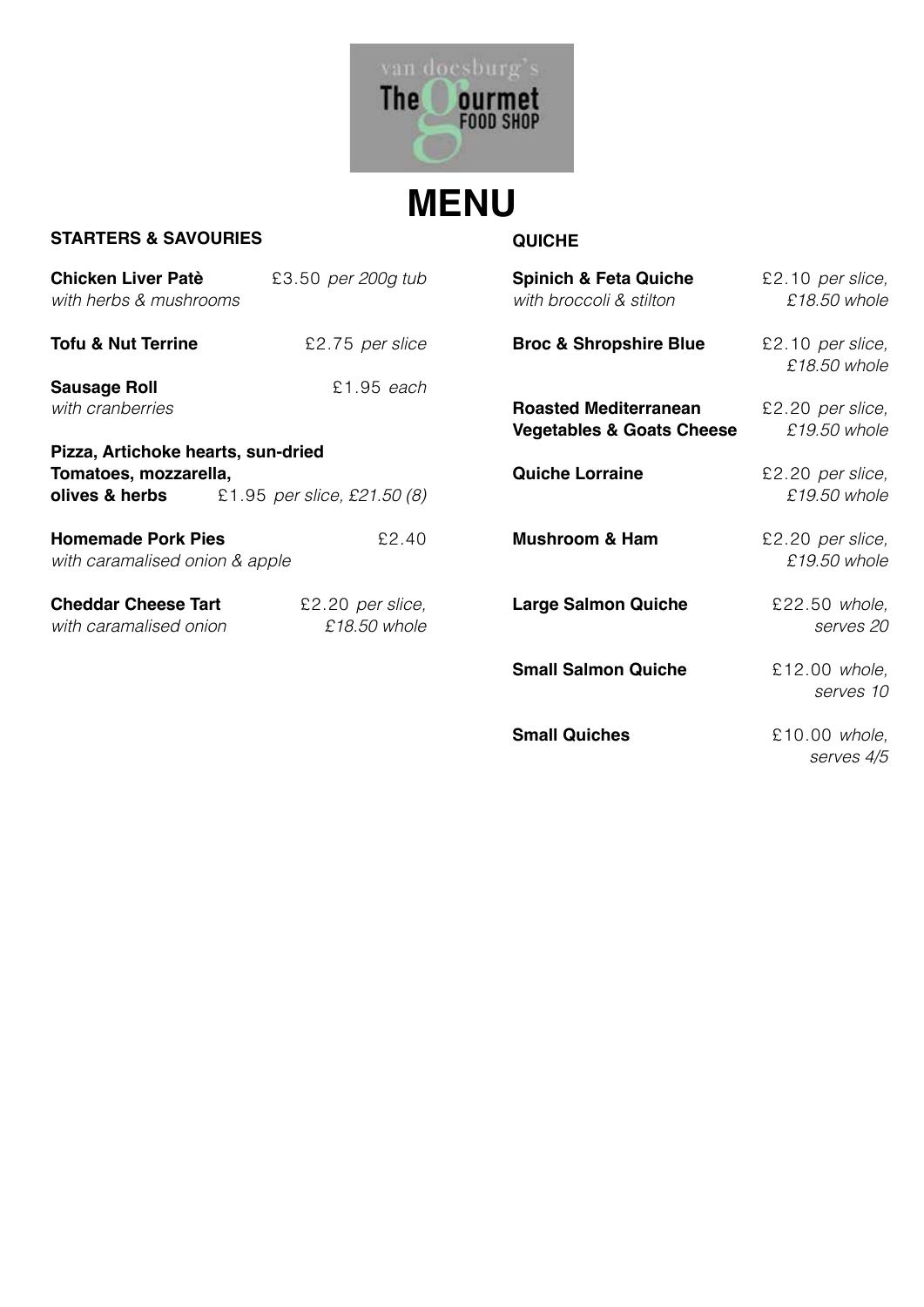

#### **STARTERS & SAVOURIES**

**QUICHE**

| <b>Chicken Liver Patè</b><br>with herbs & mushrooms         | £3.50 per 200g tub               | <b>Spinich &amp; Feta Quiche</b><br>with broccoli & stilton          | £2.10 per slice,<br>£18.50 whole   |
|-------------------------------------------------------------|----------------------------------|----------------------------------------------------------------------|------------------------------------|
| <b>Tofu &amp; Nut Terrine</b>                               | £2.75 per slice                  | <b>Broc &amp; Shropshire Blue</b>                                    | $£2.10$ per slice,<br>£18.50 whole |
| <b>Sausage Roll</b>                                         | £1.95 each                       |                                                                      |                                    |
| with cranberries                                            |                                  | <b>Roasted Mediterranean</b><br><b>Vegetables &amp; Goats Cheese</b> | £2.20 per slice,<br>£19.50 whole   |
| Pizza, Artichoke hearts, sun-dried                          |                                  |                                                                      |                                    |
| Tomatoes, mozzarella,<br>olives & herbs                     | £1.95 per slice, £21.50 (8)      | <b>Quiche Lorraine</b>                                               | £2.20 per slice,<br>£19.50 whole   |
| <b>Homemade Pork Pies</b><br>with caramalised onion & apple | £2.40                            | <b>Mushroom &amp; Ham</b>                                            | £2.20 per slice,<br>£19.50 whole   |
| <b>Cheddar Cheese Tart</b><br>with caramalised onion        | £2.20 per slice,<br>£18.50 whole | <b>Large Salmon Quiche</b>                                           | £22.50 whole,<br>serves 20         |
|                                                             |                                  | <b>Small Salmon Quiche</b>                                           | £12.00 whole,<br>serves 10         |
|                                                             |                                  | <b>Small Quiches</b>                                                 | £10.00 whole,<br>serves 4/5        |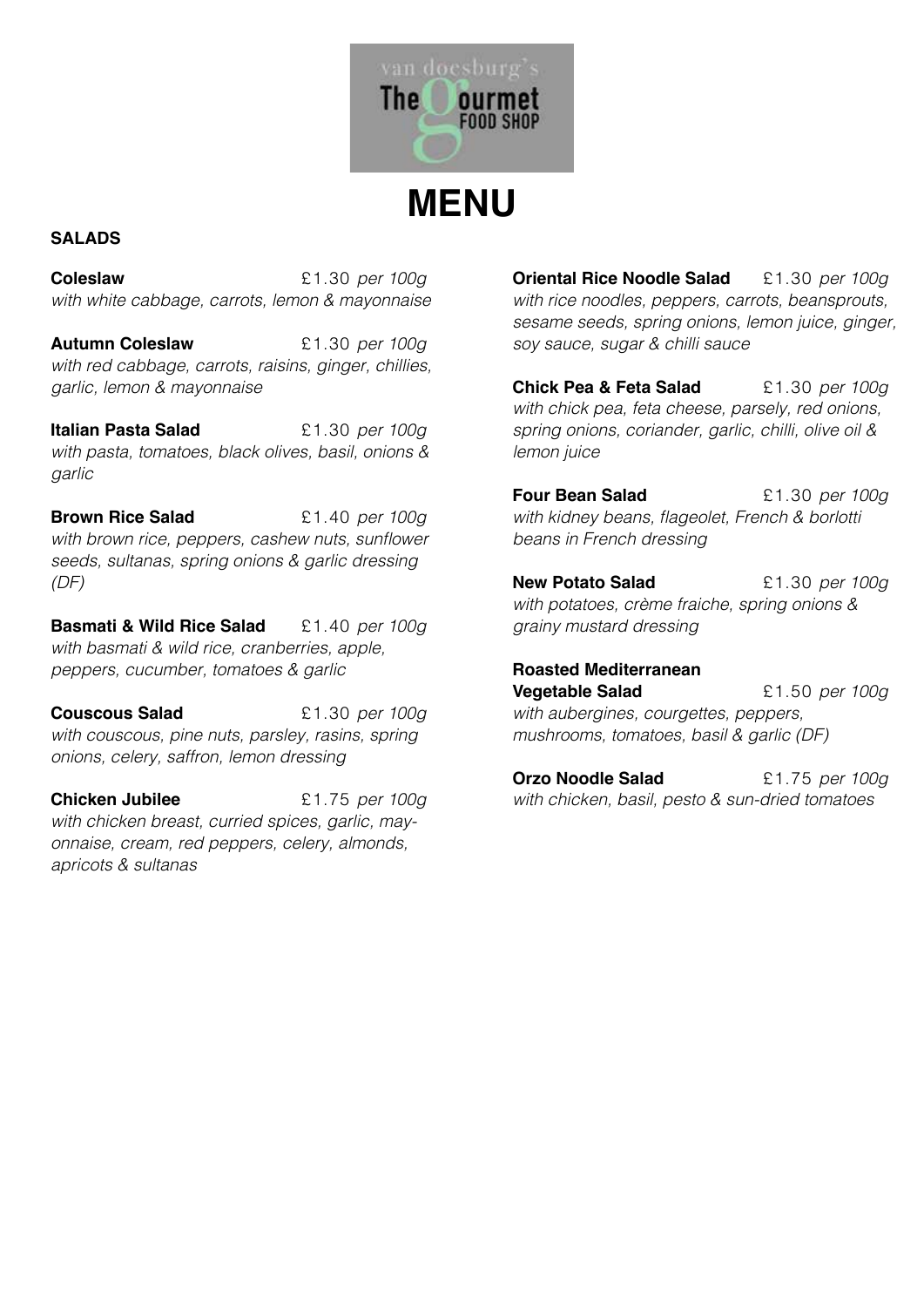

## **SALADS**

**Coleslaw** £1.30 *per 100g with white cabbage, carrots, lemon & mayonnaise*

**Autumn Coleslaw** £1.30 *per 100g with red cabbage, carrots, raisins, ginger, chillies, garlic, lemon & mayonnaise*

**Italian Pasta Salad** £1.30 *per 100g with pasta, tomatoes, black olives, basil, onions & garlic*

**Brown Rice Salad** £1.40 *per 100g* with brown rice, peppers, cashew nuts, sunflower *seeds, sultanas, spring onions & garlic dressing (DF)*

**Basmati & Wild Rice Salad** £1.40 *per 100g with basmati & wild rice, cranberries, apple, peppers, cucumber, tomatoes & garlic*

**Couscous Salad** £1.30 *per 100g with couscous, pine nuts, parsley, rasins, spring onions, celery, saffron, lemon dressing*

**Chicken Jubilee** £1.75 *per 100g with chicken breast, curried spices, garlic, mayonnaise, cream, red peppers, celery, almonds, apricots & sultanas*

**Oriental Rice Noodle Salad** £1.30 *per 100g with rice noodles, peppers, carrots, beansprouts, sesame seeds, spring onions, lemon juice, ginger, soy sauce, sugar & chilli sauce*

**Chick Pea & Feta Salad** £1.30 *per 100g with chick pea, feta cheese, parsely, red onions, spring onions, coriander, garlic, chilli, olive oil & lemon juice*

**Four Bean Salad** £1.30 *per 100g* with kidney beans, flageolet, French & borlotti *beans in French dressing*

**New Potato Salad** £1.30 *per 100g with potatoes, crème fraiche, spring onions & grainy mustard dressing*

**Roasted Mediterranean Vegetable Salad** £1.50 *per 100g with aubergines, courgettes, peppers, mushrooms, tomatoes, basil & garlic (DF)*

**Orzo Noodle Salad** £1.75 *per 100g with chicken, basil, pesto & sun-dried tomatoes*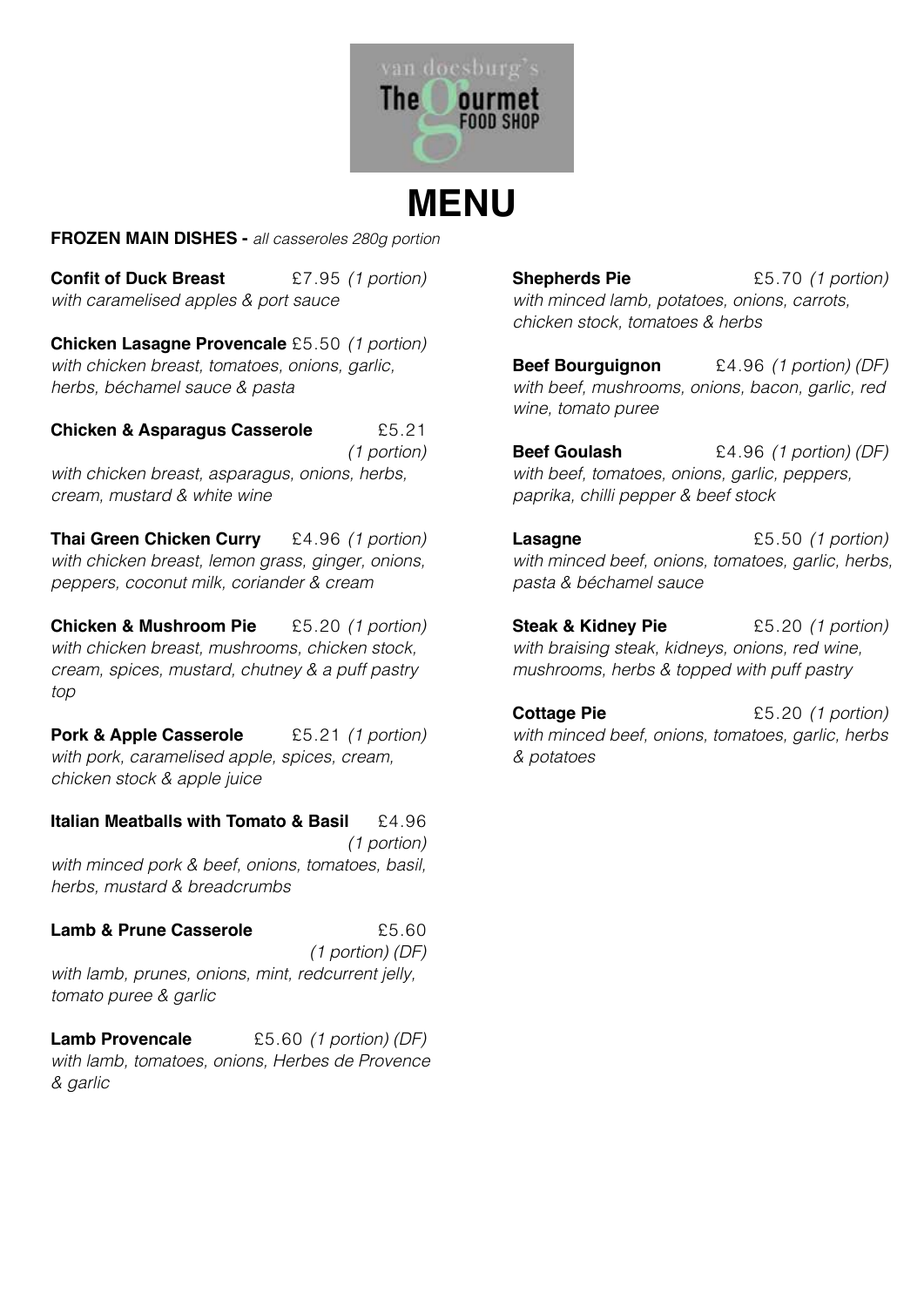

**FROZEN MAIN DISHES -** *all casseroles 280g portion*

**Confit of Duck Breast** £7.95 *(1 portion) with caramelised apples & port sauce*

**Chicken Lasagne Provencale** £5.50 *(1 portion) with chicken breast, tomatoes, onions, garlic, herbs, béchamel sauce & pasta*

**Chicken & Asparagus Casserole** £5.21

*(1 portion) with chicken breast, asparagus, onions, herbs, cream, mustard & white wine*

**Thai Green Chicken Curry** £4.96 *(1 portion) with chicken breast, lemon grass, ginger, onions, peppers, coconut milk, coriander & cream*

**Chicken & Mushroom Pie** £5.20 *(1 portion) with chicken breast, mushrooms, chicken stock, cream, spices, mustard, chutney & a puff pastry top*

**Pork & Apple Casserole** £5.21 *(1 portion) with pork, caramelised apple, spices, cream, chicken stock & apple juice*

**Italian Meatballs with Tomato & Basil** £4.96 *(1 portion)*

*with minced pork & beef, onions, tomatoes, basil, herbs, mustard & breadcrumbs*

### **Lamb & Prune Casserole**  $£5.60$

*(1 portion) (DF)*

*with lamb, prunes, onions, mint, redcurrent jelly, tomato puree & garlic*

**Lamb Provencale** £5.60 *(1 portion) (DF) with lamb, tomatoes, onions, Herbes de Provence & garlic*

**Shepherds Pie** £5.70 *(1 portion) with minced lamb, potatoes, onions, carrots, chicken stock, tomatoes & herbs*

**Beef Bourguignon** £4.96 *(1 portion) (DF) with beef, mushrooms, onions, bacon, garlic, red wine, tomato puree*

**Beef Goulash** £4.96 *(1 portion) (DF) with beef, tomatoes, onions, garlic, peppers, paprika, chilli pepper & beef stock*

**Lasagne** £5.50 *(1 portion) with minced beef, onions, tomatoes, garlic, herbs, pasta & béchamel sauce*

**Steak & Kidney Pie** £5.20 *(1 portion) with braising steak, kidneys, onions, red wine, mushrooms, herbs & topped with puff pastry*

**Cottage Pie** £5.20 *(1 portion) with minced beef, onions, tomatoes, garlic, herbs & potatoes*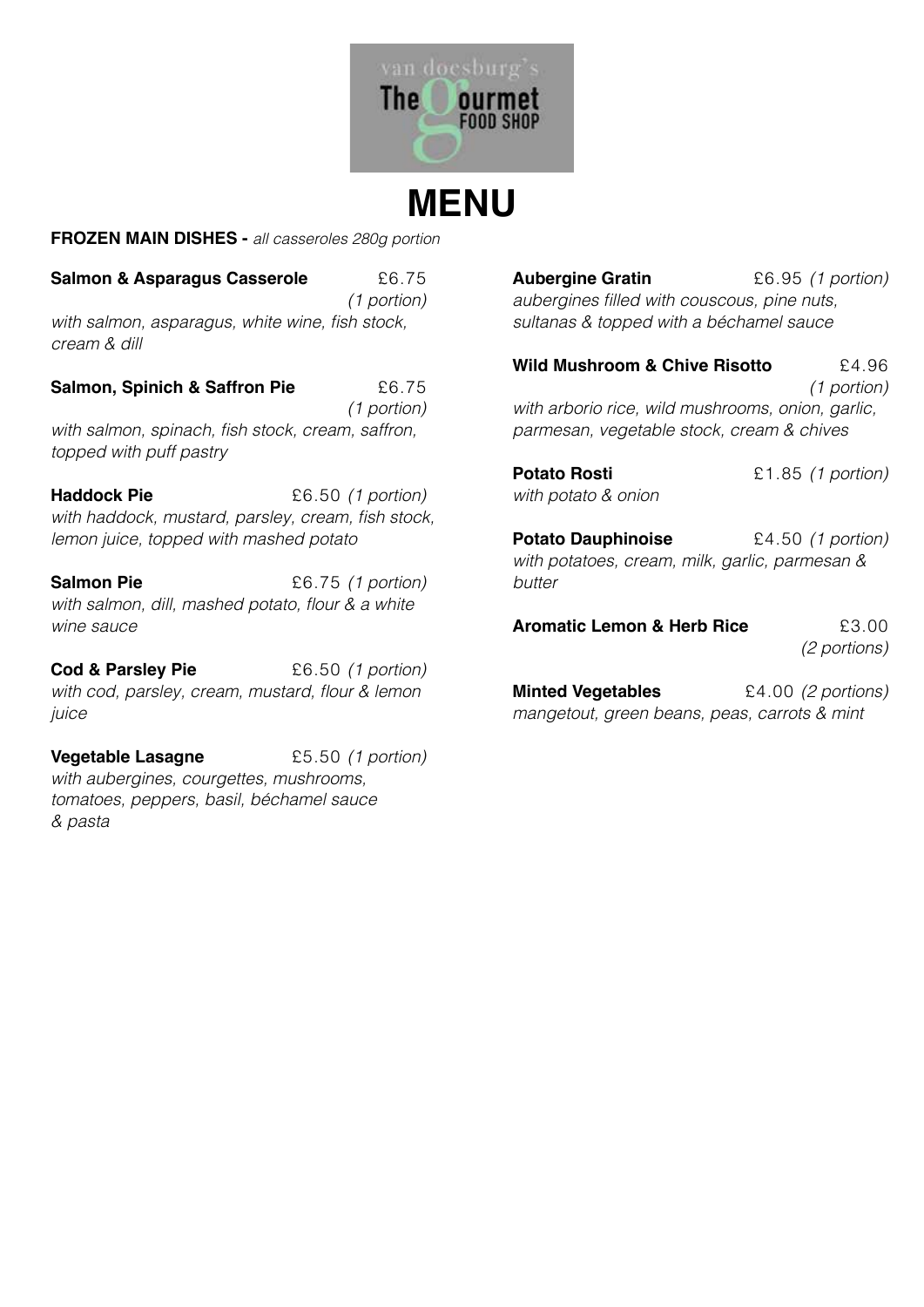

**FROZEN MAIN DISHES -** *all casseroles 280g portion*

**Salmon & Asparagus Casserole**  $£6.75$ *(1 portion)* with salmon, asparagus, white wine, fish stock, *cream & dill*

**Salmon, Spinich & Saffron Pie**  $£6.75$ *(1 portion)* with salmon, spinach, fish stock, cream, saffron, *topped with puff pastry*

**Haddock Pie**  $£6.50$  (1 portion) with haddock, mustard, parsley, cream, fish stock, *lemon juice, topped with mashed potato* 

**Salmon Pie** £6.75 *(1 portion)* with salmon, dill, mashed potato, flour & a white *wine sauce*

**Cod & Parsley Pie** £6.50 *(1 portion)* with cod, parsley, cream, mustard, flour & lemon *juice*

**Vegetable Lasagne** £5.50 *(1 portion) with aubergines, courgettes, mushrooms, tomatoes, peppers, basil, béchamel sauce & pasta*

**Aubergine Gratin** £6.95 *(1 portion)* aubergines filled with couscous, pine nuts, *sultanas & topped with a béchamel sauce*

**Wild Mushroom & Chive Risotto** £4.96 *(1 portion) with arborio rice, wild mushrooms, onion, garlic, parmesan, vegetable stock, cream & chives*

**Potato Rosti** £1.85 *(1 portion) with potato & onion*

**Potato Dauphinoise** £4.50 *(1 portion) with potatoes, cream, milk, garlic, parmesan & butter*

**Aromatic Lemon & Herb Rice** 63.00 *(2 portions)*

**Minted Vegetables** £4.00 *(2 portions) mangetout, green beans, peas, carrots & mint*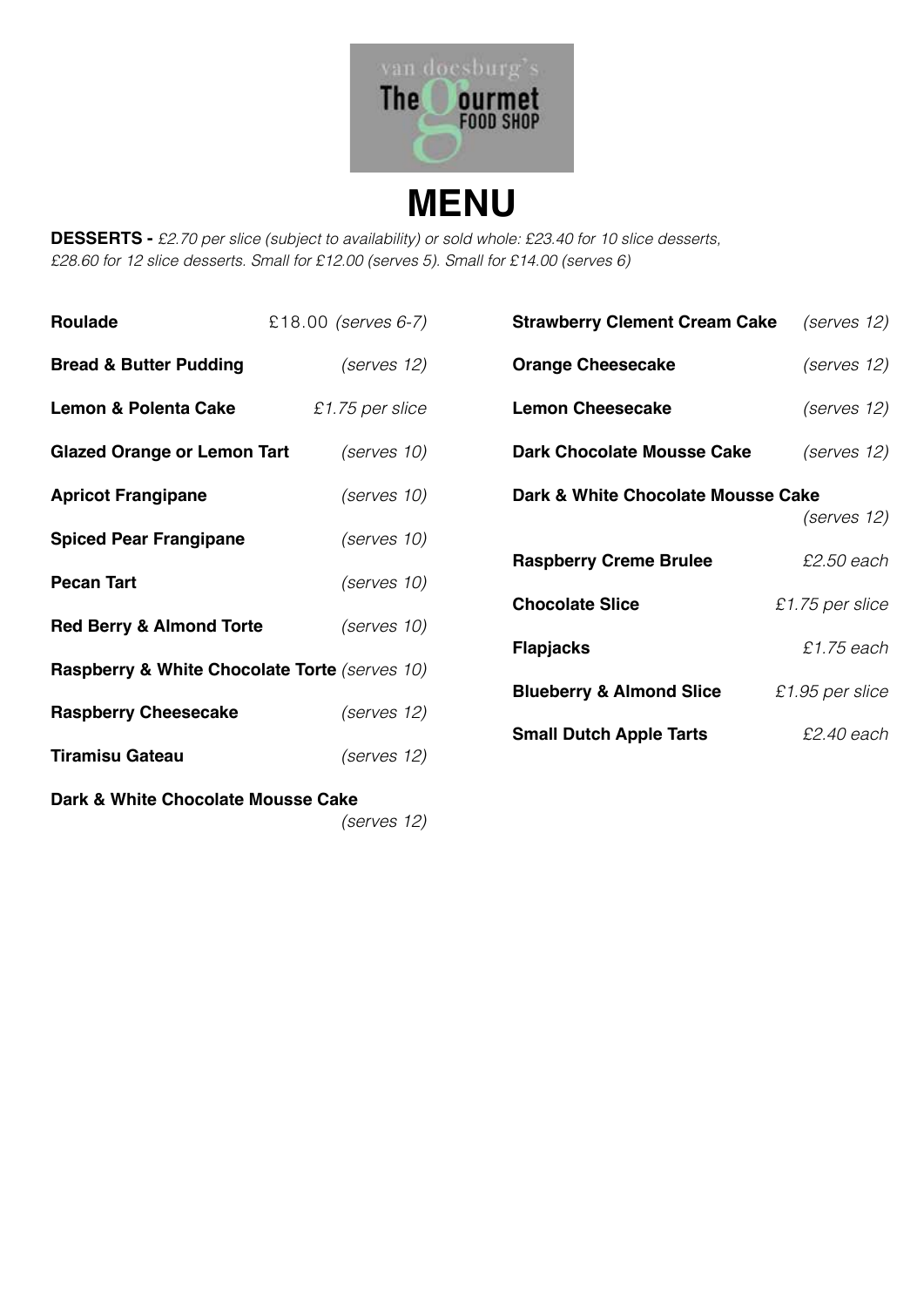

**DESSERTS -** *£2.70 per slice (subject to availability) or sold whole: £23.40 for 10 slice desserts, £28.60 for 12 slice desserts. Small for £12.00 (serves 5). Small for £14.00 (serves 6)*

| <b>Roulade</b>                                | £18.00 (serves 6-7) | <b>Strawberry Clement Cream Cake</b> | (serves 12)       |  |  |
|-----------------------------------------------|---------------------|--------------------------------------|-------------------|--|--|
| <b>Bread &amp; Butter Pudding</b>             | (serves 12)         | <b>Orange Cheesecake</b>             | (serves 12)       |  |  |
| <b>Lemon &amp; Polenta Cake</b>               | £1.75 per slice     | <b>Lemon Cheesecake</b>              | (serves 12)       |  |  |
| <b>Glazed Orange or Lemon Tart</b>            | (serves 10)         | <b>Dark Chocolate Mousse Cake</b>    | (serves 12)       |  |  |
| <b>Apricot Frangipane</b>                     | (serves 10)         | Dark & White Chocolate Mousse Cake   | (serves 12)       |  |  |
| <b>Spiced Pear Frangipane</b>                 | (serves 10)         |                                      |                   |  |  |
| <b>Pecan Tart</b>                             | (serves 10)         | <b>Raspberry Creme Brulee</b>        | £2.50 each        |  |  |
|                                               |                     | <b>Chocolate Slice</b>               | $£1.75$ per slice |  |  |
| <b>Red Berry &amp; Almond Torte</b>           | (serves 10)         | <b>Flapjacks</b>                     | £1.75 each        |  |  |
| Raspberry & White Chocolate Torte (serves 10) |                     |                                      |                   |  |  |
| <b>Raspberry Cheesecake</b>                   | (serves 12)         | <b>Blueberry &amp; Almond Slice</b>  | $£1.95$ per slice |  |  |
|                                               |                     | <b>Small Dutch Apple Tarts</b>       | £2.40 each        |  |  |
| <b>Tiramisu Gateau</b>                        | (serves 12)         |                                      |                   |  |  |
| Dark & White Chocolate Mousse Cake            |                     |                                      |                   |  |  |
|                                               | (serves 12)         |                                      |                   |  |  |